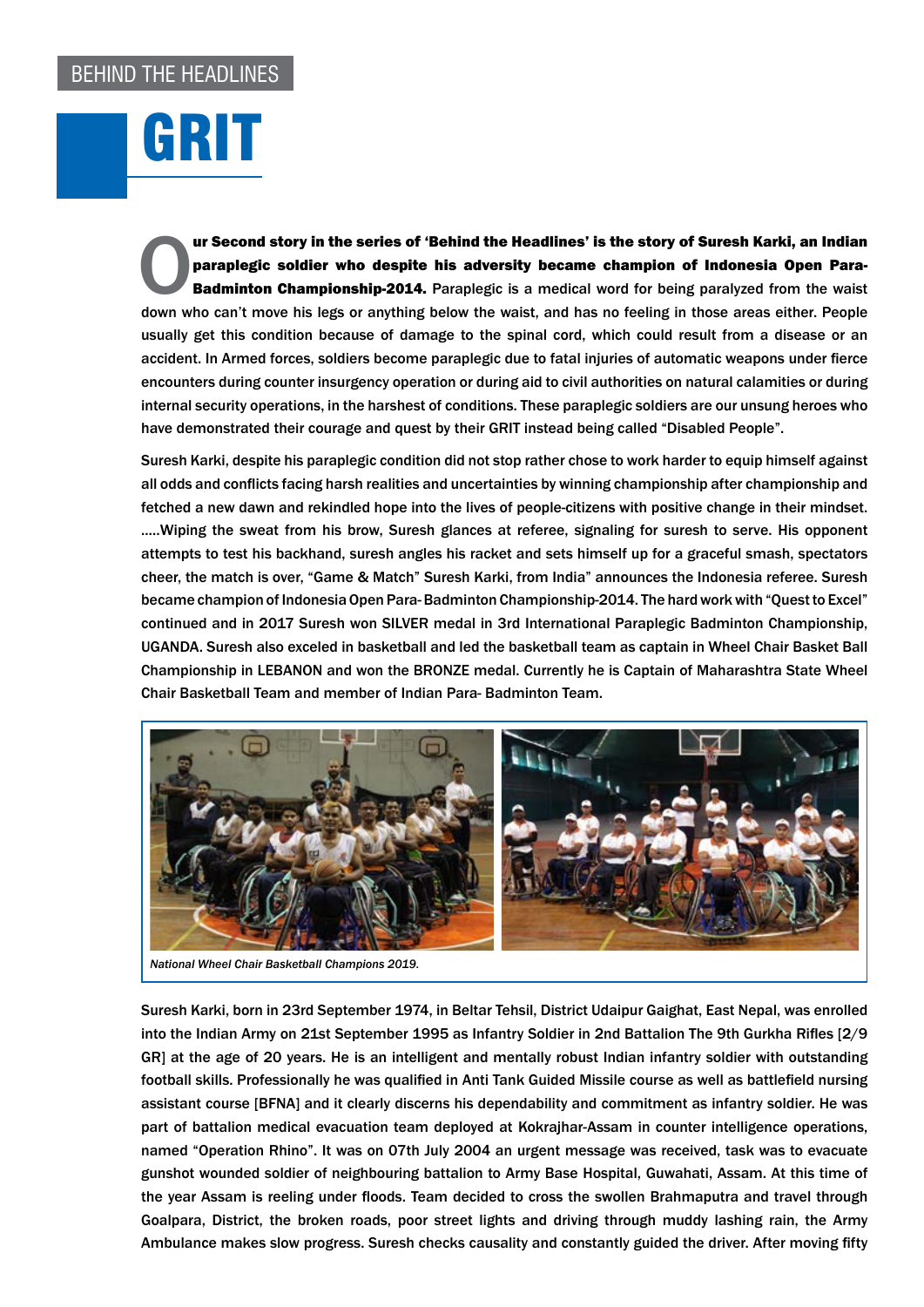GRIT

**Our Second story in the series of 'Behind the Headlines' is the story of Suresh Karki, an Indian<br>
paraplegic soldier who despite his adversity became champion of Indonesia Open Para-<br>
Badminton Championship-2014.** Paraple paraplegic soldier who despite his adversity became champion of Indonesia Open Para-**Badminton Championship-2014.** Paraplegic is a medical word for being paralyzed from the waist down who can't move his legs or anything below the waist, and has no feeling in those areas either. People usually get this condition because of damage to the spinal cord, which could result from a disease or an accident. In Armed forces, soldiers become paraplegic due to fatal injuries of automatic weapons under fierce encounters during counter insurgency operation or during aid to civil authorities on natural calamities or during internal security operations, in the harshest of conditions. These paraplegic soldiers are our unsung heroes who have demonstrated their courage and quest by their GRIT instead being called "Disabled People".

Suresh Karki, despite his paraplegic condition did not stop rather chose to work harder to equip himself against all odds and conflicts facing harsh realities and uncertainties by winning championship after championship and fetched a new dawn and rekindled hope into the lives of people-citizens with positive change in their mindset. ..…Wiping the sweat from his brow, Suresh glances at referee, signaling for suresh to serve. His opponent attempts to test his backhand, suresh angles his racket and sets himself up for a graceful smash, spectators cheer, the match is over, "Game & Match" Suresh Karki, from India" announces the Indonesia referee. Suresh became champion of Indonesia Open Para- Badminton Championship-2014. The hard work with "Quest to Excel" continued and in 2017 Suresh won SILVER medal in 3rd International Paraplegic Badminton Championship, UGANDA. Suresh also exceled in basketball and led the basketball team as captain in Wheel Chair Basket Ball Championship in LEBANON and won the BRONZE medal. Currently he is Captain of Maharashtra State Wheel Chair Basketball Team and member of Indian Para- Badminton Team.



*National Wheel Chair Basketball Champions 2019.*

Suresh Karki, born in 23rd September 1974, in Beltar Tehsil, District Udaipur Gaighat, East Nepal, was enrolled into the Indian Army on 21st September 1995 as Infantry Soldier in 2nd Battalion The 9th Gurkha Rifles [2/9 GR] at the age of 20 years. He is an intelligent and mentally robust Indian infantry soldier with outstanding football skills. Professionally he was qualified in Anti Tank Guided Missile course as well as battlefield nursing assistant course [BFNA] and it clearly discerns his dependability and commitment as infantry soldier. He was part of battalion medical evacuation team deployed at Kokrajhar-Assam in counter intelligence operations, named "Operation Rhino". It was on 07th July 2004 an urgent message was received, task was to evacuate gunshot wounded soldier of neighbouring battalion to Army Base Hospital, Guwahati, Assam. At this time of the year Assam is reeling under floods. Team decided to cross the swollen Brahmaputra and travel through Goalpara, District, the broken roads, poor street lights and driving through muddy lashing rain, the Army Ambulance makes slow progress. Suresh checks causality and constantly guided the driver. After moving fifty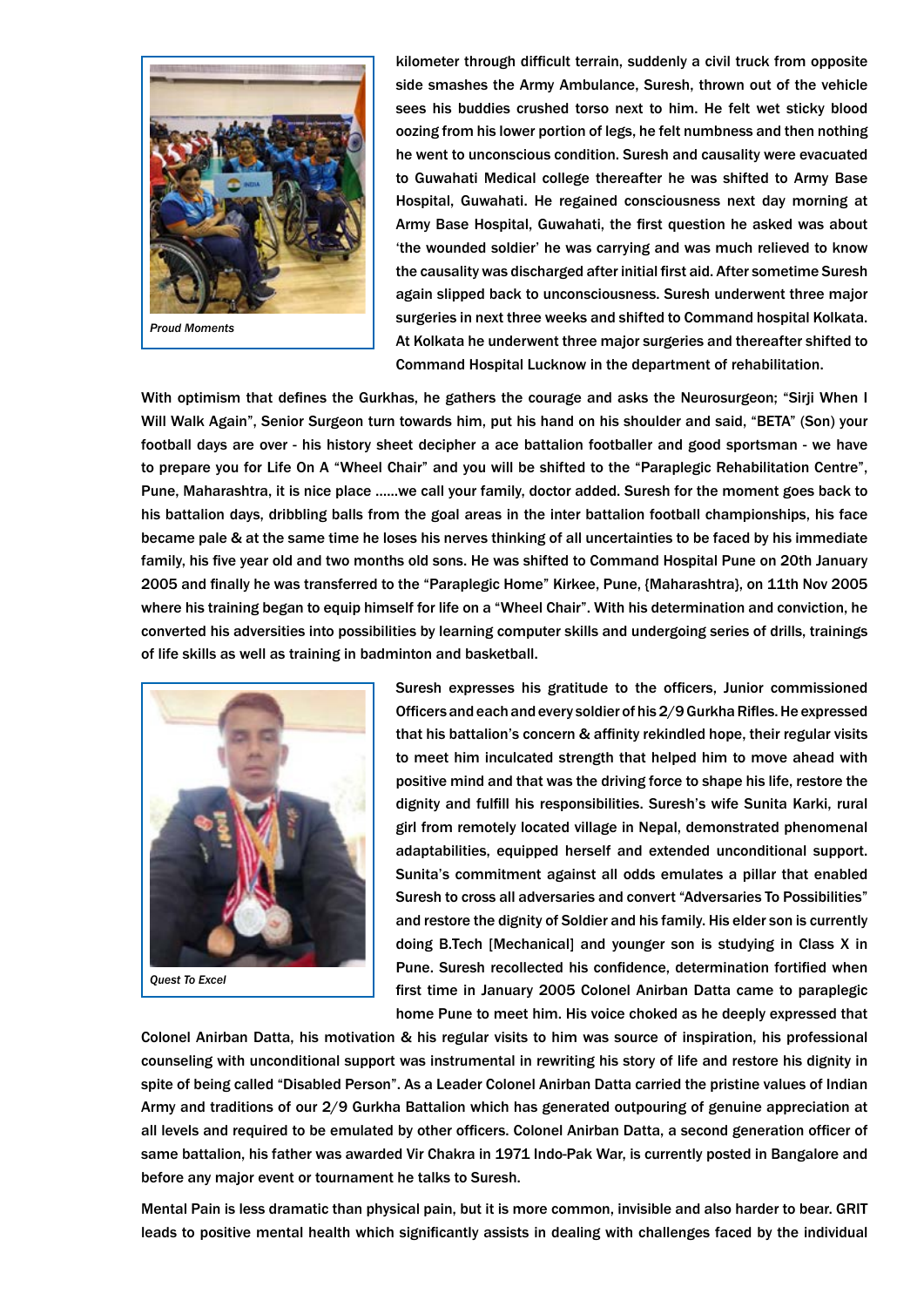

kilometer through difficult terrain, suddenly a civil truck from opposite side smashes the Army Ambulance, Suresh, thrown out of the vehicle sees his buddies crushed torso next to him. He felt wet sticky blood oozing from his lower portion of legs, he felt numbness and then nothing he went to unconscious condition. Suresh and causality were evacuated to Guwahati Medical college thereafter he was shifted to Army Base Hospital, Guwahati. He regained consciousness next day morning at Army Base Hospital, Guwahati, the first question he asked was about 'the wounded soldier' he was carrying and was much relieved to know the causality was discharged after initial first aid. After sometime Suresh again slipped back to unconsciousness. Suresh underwent three major surgeries in next three weeks and shifted to Command hospital Kolkata. At Kolkata he underwent three major surgeries and thereafter shifted to Command Hospital Lucknow in the department of rehabilitation.

With optimism that defines the Gurkhas, he gathers the courage and asks the Neurosurgeon; "Sirji When I Will Walk Again", Senior Surgeon turn towards him, put his hand on his shoulder and said, "BETA" (Son) your football days are over - his history sheet decipher a ace battalion footballer and good sportsman - we have to prepare you for Life On A "Wheel Chair" and you will be shifted to the "Paraplegic Rehabilitation Centre", Pune, Maharashtra, it is nice place …...we call your family, doctor added. Suresh for the moment goes back to his battalion days, dribbling balls from the goal areas in the inter battalion football championships, his face became pale & at the same time he loses his nerves thinking of all uncertainties to be faced by his immediate family, his five year old and two months old sons. He was shifted to Command Hospital Pune on 20th January 2005 and finally he was transferred to the "Paraplegic Home" Kirkee, Pune, {Maharashtra}, on 11th Nov 2005 where his training began to equip himself for life on a "Wheel Chair". With his determination and conviction, he converted his adversities into possibilities by learning computer skills and undergoing series of drills, trainings of life skills as well as training in badminton and basketball.



*Quest To Excel*

Suresh expresses his gratitude to the officers, Junior commissioned Officers and each and every soldier of his 2/9 Gurkha Rifles. He expressed that his battalion's concern & affinity rekindled hope, their regular visits to meet him inculcated strength that helped him to move ahead with positive mind and that was the driving force to shape his life, restore the dignity and fulfill his responsibilities. Suresh's wife Sunita Karki, rural girl from remotely located village in Nepal, demonstrated phenomenal adaptabilities, equipped herself and extended unconditional support. Sunita's commitment against all odds emulates a pillar that enabled Suresh to cross all adversaries and convert "Adversaries To Possibilities" and restore the dignity of Soldier and his family. His elder son is currently doing B.Tech [Mechanical] and younger son is studying in Class X in Pune. Suresh recollected his confidence, determination fortified when first time in January 2005 Colonel Anirban Datta came to paraplegic home Pune to meet him. His voice choked as he deeply expressed that

Colonel Anirban Datta, his motivation & his regular visits to him was source of inspiration, his professional counseling with unconditional support was instrumental in rewriting his story of life and restore his dignity in spite of being called "Disabled Person". As a Leader Colonel Anirban Datta carried the pristine values of Indian Army and traditions of our 2/9 Gurkha Battalion which has generated outpouring of genuine appreciation at all levels and required to be emulated by other officers. Colonel Anirban Datta, a second generation officer of same battalion, his father was awarded Vir Chakra in 1971 Indo-Pak War, is currently posted in Bangalore and before any major event or tournament he talks to Suresh.

Mental Pain is less dramatic than physical pain, but it is more common, invisible and also harder to bear. GRIT leads to positive mental health which significantly assists in dealing with challenges faced by the individual